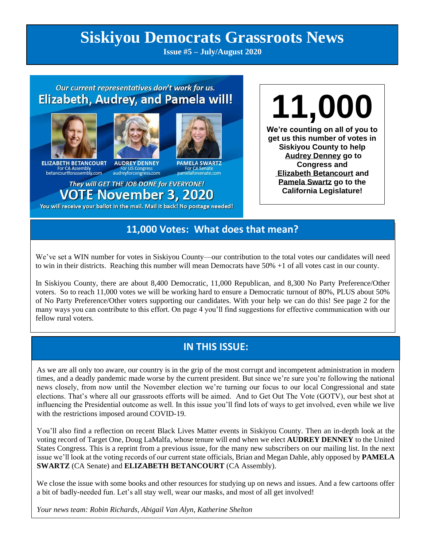# **Siskiyou Democrats Grassroots News**

**Issue #5 – July/August 2020**

## Our current representatives don't work for us. **Elizabeth, Audrey, and Pamela will!**



**ELIZABETH BETANCOURT**<br>For CA Assembly<br>betancourtforassembly.com

**AUDREY DENNEY** For US Congress<br>audreyforcongress.com

**PAMELA SWARTZ** 

They will GET THE JOB DONE for EVERYONE! **VOTE November 3, 2020** 

You will receive your ballot in the mail. Mail it back! No postage needed!

**11,000 We're counting on all of you to get us this number of votes in Siskiyou County to help Audrey Denney go to Congress and Elizabeth Betancourt and Pamela Swartz go to the California Legislature!**

## **11,000 Votes: What does that mean?**

We've set a WIN number for votes in Siskiyou County—our contribution to the total votes our candidates will need to win in their districts. Reaching this number will mean Democrats have 50% +1 of all votes cast in our county.

In Siskiyou County, there are about 8,400 Democratic, 11,000 Republican, and 8,300 No Party Preference/Other voters. So to reach 11,000 votes we will be working hard to ensure a Democratic turnout of 80%, PLUS about 50% of No Party Preference/Other voters supporting our candidates. With your help we can do this! See page 2 for the many ways you can contribute to this effort. On page 4 you'll find suggestions for effective communication with our fellow rural voters.

## **IN THIS ISSUE:**

As we are all only too aware, our country is in the grip of the most corrupt and incompetent administration in modern times, and a deadly pandemic made worse by the current president. But since we're sure you're following the national news closely, from now until the November election we're turning our focus to our local Congressional and state elections. That's where all our grassroots efforts will be aimed. And to Get Out The Vote (GOTV), our best shot at influencing the Presidential outcome as well. In this issue you'll find lots of ways to get involved, even while we live with the restrictions imposed around COVID-19.

You'll also find a reflection on recent Black Lives Matter events in Siskiyou County. Then an in-depth look at the voting record of Target One, Doug LaMalfa, whose tenure will end when we elect **AUDREY DENNEY** to the United States Congress. This is a reprint from a previous issue, for the many new subscribers on our mailing list. In the next issue we'll look at the voting records of our current state officials, Brian and Megan Dahle, ably opposed by **PAMELA SWARTZ** (CA Senate) and **ELIZABETH BETANCOURT** (CA Assembly).

We close the issue with some books and other resources for studying up on news and issues. And a few cartoons offer a bit of badly-needed fun. Let's all stay well, wear our masks, and most of all get involved!

*Your news team: Robin Richards, Abigail Van Alyn, Katherine Shelton*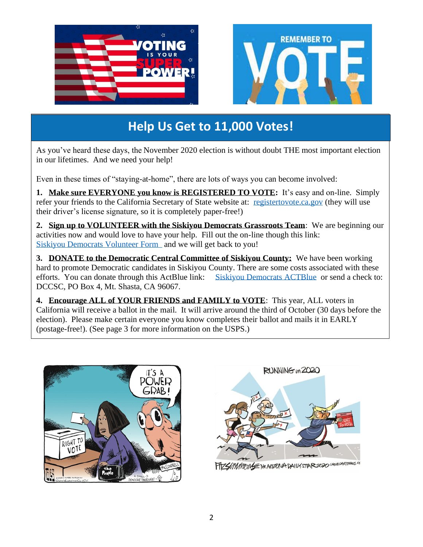

## **Help Us Get to 11,000 Votes!**

As you've heard these days, the November 2020 election is without doubt THE most important election in our lifetimes. And we need your help!

Even in these times of "staying-at-home", there are lots of ways you can become involved:

**1. Make sure EVERYONE you know is REGISTERED TO VOTE:** It's easy and on-line. Simply refer your friends to the California Secretary of State website at: [registertovote.ca.gov](https://registertovote.ca.gov/) (they will use their driver's license signature, so it is completely paper-free!)

**2. Sign up to VOLUNTEER with the Siskiyou Democrats Grassroots Team**: We are beginning our activities now and would love to have your help. Fill out the on-line though this link: [Siskiyou Democrats Volunteer Form](https://www.surveymonkey.com/r/YGMQPPL) and we will get back to you!

**3. DONATE to the Democratic Central Committee of Siskiyou County:** We have been working hard to promote Democratic candidates in Siskiyou County. There are some costs associated with these efforts. You can donate through this ActBlue link: [Siskiyou Democrats ACTBlue](https://secure.actblue.com/donate/democratic-central-committee-of-siskiyou-county-federal-1) or send a check to: DCCSC, PO Box 4, Mt. Shasta, CA 96067.

**4. Encourage ALL of YOUR FRIENDS and FAMILY to VOTE**: This year, ALL voters in California will receive a ballot in the mail. It will arrive around the third of October (30 days before the election). Please make certain everyone you know completes their ballot and mails it in EARLY (postage-free!). (See page 3 for more information on the USPS.)





FTZSMMMONS = THE ARIZONA DAILY STAR 2020 CASUCARTOONIS, LE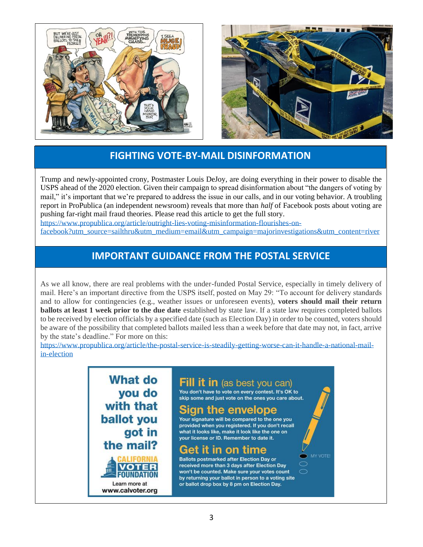



## **FIGHTING VOTE-BY-MAIL DISINFORMATION**

Trump and newly-appointed crony, Postmaster Louis DeJoy, are doing everything in their power to disable the USPS ahead of the 2020 election. Given their campaign to spread disinformation about "the dangers of voting by mail," it's important that we're prepared to address the issue in our calls, and in our voting behavior. A troubling report in ProPublica (an independent newsroom) reveals that more than *half* of Facebook posts about voting are pushing far-right mail fraud theories. Please read this article to get the full story. [https://www.propublica.org/article/outright-lies-voting-misinformation-flourishes-on-](https://www.propublica.org/article/outright-lies-voting-misinformation-flourishes-on-facebook?utm_source=sailthru&utm_medium=email&utm_campaign=majorinvestigations&utm_content=river)

[facebook?utm\\_source=sailthru&utm\\_medium=email&utm\\_campaign=majorinvestigations&utm\\_content=river](https://www.propublica.org/article/outright-lies-voting-misinformation-flourishes-on-facebook?utm_source=sailthru&utm_medium=email&utm_campaign=majorinvestigations&utm_content=river)

## **IMPORTANT GUIDANCE FROM THE POSTAL SERVICE**

As we all know, there are real problems with the under-funded Postal Service, especially in timely delivery of mail. Here's an important directive from the USPS itself, posted on May 29: "To account for delivery standards and to allow for contingencies (e.g., weather issues or unforeseen events), **voters should mail their return ballots at least 1 week prior to the due date** established by state law. If a state law requires completed ballots to be received by election officials by a specified date (such as Election Day) in order to be counted, voters should be aware of the possibility that completed ballots mailed less than a week before that date may not, in fact, arrive by the state's deadline." For more on this:

[https://www.propublica.org/article/the-postal-service-is-steadily-getting-worse-can-it-handle-a-national-mail](https://www.propublica.org/article/the-postal-service-is-steadily-getting-worse-can-it-handle-a-national-mail-in-election)[in-election](https://www.propublica.org/article/the-postal-service-is-steadily-getting-worse-can-it-handle-a-national-mail-in-election)

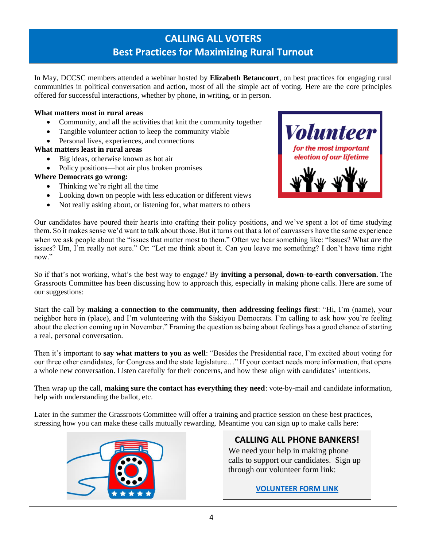## **CALLING ALL VOTERS Best Practices for Maximizing Rural Turnout**

In May, DCCSC members attended a webinar hosted by **Elizabeth Betancourt**, on best practices for engaging rural communities in political conversation and action, most of all the simple act of voting. Here are the core principles offered for successful interactions, whether by phone, in writing, or in person.

#### **What matters most in rural areas**

- Community, and all the activities that knit the community together
- Tangible volunteer action to keep the community viable
- Personal lives, experiences, and connections

#### **What matters least in rural areas**

- Big ideas, otherwise known as hot air
- Policy positions—hot air plus broken promises

#### **Where Democrats go wrong:**

- Thinking we're right all the time
- Looking down on people with less education or different views
- Not really asking about, or listening for, what matters to others



Our candidates have poured their hearts into crafting their policy positions, and we've spent a lot of time studying them. So it makes sense we'd want to talk about those. But it turns out that a lot of canvassers have the same experience when we ask people about the "issues that matter most to them." Often we hear something like: "Issues? What *are* the issues? Um, I'm really not sure." Or: "Let me think about it. Can you leave me something? I don't have time right now."

So if that's not working, what's the best way to engage? By **inviting a personal, down-to-earth conversation.** The Grassroots Committee has been discussing how to approach this, especially in making phone calls. Here are some of our suggestions:

Start the call by **making a connection to the community, then addressing feelings first**: "Hi, I'm (name), your neighbor here in (place), and I'm volunteering with the Siskiyou Democrats. I'm calling to ask how you're feeling about the election coming up in November." Framing the question as being about feelings has a good chance of starting a real, personal conversation.

Then it's important to **say what matters to you as well**: "Besides the Presidential race, I'm excited about voting for our three other candidates, for Congress and the state legislature…" If your contact needs more information, that opens a whole new conversation. Listen carefully for their concerns, and how these align with candidates' intentions.

Then wrap up the call, **making sure the contact has everything they need**: vote-by-mail and candidate information, help with understanding the ballot, etc.

Later in the summer the Grassroots Committee will offer a training and practice session on these best practices, stressing how you can make these calls mutually rewarding. Meantime you can sign up to make calls here:



## **CALLING ALL PHONE BANKERS!**

We need your help in making phone calls to support our candidates. Sign up through our volunteer form link:

**[VOLUNTEER FORM LINK](https://www.surveymonkey.com/r/YGMQPPL)**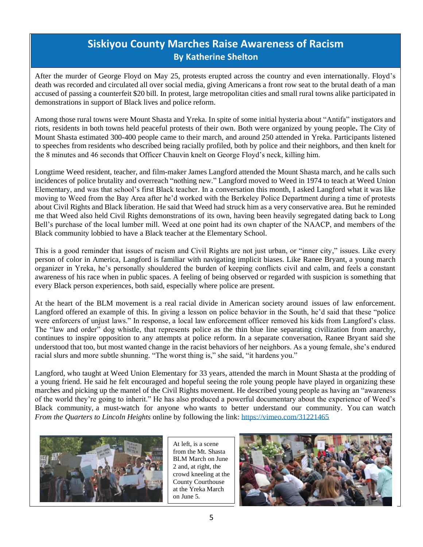## **Siskiyou County Marches Raise Awareness of Racism By Katherine Shelton**

After the murder of George Floyd on May 25, protests erupted across the country and even internationally. Floyd's death was recorded and circulated all over social media, giving Americans a front row seat to the brutal death of a man accused of passing a counterfeit \$20 bill. In protest, large metropolitan cities and small rural towns alike participated in demonstrations in support of Black lives and police reform.

Among those rural towns were Mount Shasta and Yreka. In spite of some initial hysteria about "Antifa" instigators and riots, residents in both towns held peaceful protests of their own. Both were organized by young people**.** The City of Mount Shasta estimated 300-400 people came to their march, and around 250 attended in Yreka. Participants listened to speeches from residents who described being racially profiled, both by police and their neighbors, and then knelt for the 8 minutes and 46 seconds that Officer Chauvin knelt on George Floyd's neck, killing him.

Longtime Weed resident, teacher, and film-maker James Langford attended the Mount Shasta march, and he calls such incidences of police brutality and overreach "nothing new." Langford moved to Weed in 1974 to teach at Weed Union Elementary, and was that school's first Black teacher. In a conversation this month, I asked Langford what it was like moving to Weed from the Bay Area after he'd worked with the Berkeley Police Department during a time of protests about Civil Rights and Black liberation. He said that Weed had struck him as a very conservative area. But he reminded me that Weed also held Civil Rights demonstrations of its own, having been heavily segregated dating back to Long Bell's purchase of the local lumber mill. Weed at one point had its own chapter of the NAACP, and members of the Black community lobbied to have a Black teacher at the Elementary School.

This is a good reminder that issues of racism and Civil Rights are not just urban, or "inner city," issues. Like every person of color in America, Langford is familiar with navigating implicit biases. Like Ranee Bryant, a young march organizer in Yreka, he's personally shouldered the burden of keeping conflicts civil and calm, and feels a constant awareness of his race when in public spaces. A feeling of being observed or regarded with suspicion is something that every Black person experiences, both said, especially where police are present.

At the heart of the BLM movement is a real racial divide in American society around issues of law enforcement. Langford offered an example of this. In giving a lesson on police behavior in the South, he'd said that these "police were enforcers of unjust laws." In response, a local law enforcement officer removed his kids from Langford's class. The "law and order" dog whistle, that represents police as the thin blue line separating civilization from anarchy, continues to inspire opposition to any attempts at police reform. In a separate conversation, Ranee Bryant said she understood that too, but most wanted change in the racist behaviors of her neighbors. As a young female, she's endured racial slurs and more subtle shunning. "The worst thing is," she said, "it hardens you."

Langford, who taught at Weed Union Elementary for 33 years, attended the march in Mount Shasta at the prodding of a young friend. He said he felt encouraged and hopeful seeing the role young people have played in organizing these marches and picking up the mantel of the Civil Rights movement. He described young people as having an "awareness of the world they're going to inherit." He has also produced a powerful documentary about the experience of Weed's Black community, a must-watch for anyone who wants to better understand our community. You can watch *From the Quarters to Lincoln Heights* online by following the link:<https://vimeo.com/31221465>



At left, is a scene from the Mt. Shasta BLM March on June 2 and, at right, the crowd kneeling at the County Courthouse at the Yreka March on June 5.

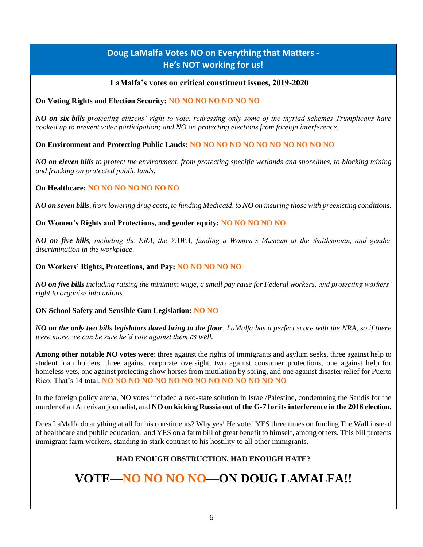### **Doug LaMalfa Votes NO on Everything that Matters - He's NOT working for us!**

#### **LaMalfa's votes on critical constituent issues, 2019-2020**

#### **On Voting Rights and Election Security: NO NO NO NO NO NO NO**

*NO on six bills protecting citizens' right to vote, redressing only some of the myriad schemes Trumplicans have cooked up to prevent voter participation; and NO on protecting elections from foreign interference.*

#### **On Environment and Protecting Public Lands: NO NO NO NO NO NO NO NO NO NO NO**

*NO on eleven bills to protect the environment, from protecting specific wetlands and shorelines, to blocking mining and fracking on protected public lands.*

#### **On Healthcare: NO NO NO NO NO NO NO**

*NO on seven bills, from lowering drug costs, to funding Medicaid, to NO on insuring those with preexisting conditions.*

**On Women's Rights and Protections, and gender equity: NO NO NO NO NO**

*NO on five bills, including the ERA, the VAWA, funding a Women's Museum at the Smithsonian, and gender discrimination in the workplace.*

#### **On Workers' Rights, Protections, and Pay: NO NO NO NO NO**

*NO on five bills including raising the minimum wage, a small pay raise for Federal workers, and protecting workers' right to organize into unions.*

#### **ON School Safety and Sensible Gun Legislation: NO NO**

*NO on the only two bills legislators dared bring to the floor. LaMalfa has a perfect score with the NRA, so if there were more, we can be sure he'd vote against them as well.*

**Among other notable NO votes were**: three against the rights of immigrants and asylum seeks, three against help to student loan holders, three against corporate oversight, two against consumer protections, one against help for homeless vets, one against protecting show horses from mutilation by soring, and one against disaster relief for Puerto Rico. That's 14 total. **NO NO NO NO NO NO NO NO NO NO NO NO NO NO**

In the foreign policy arena, NO votes included a two-state solution in Israel/Palestine, condemning the Saudis for the murder of an American journalist, and **NO on kicking Russia out of the G-7 for its interference in the 2016 election.**

Does LaMalfa do anything at all for his constituents? Why yes! He voted YES three times on funding The Wall instead of healthcare and public education, and YES on a farm bill of great benefit to himself, among others. This bill protects immigrant farm workers, standing in stark contrast to his hostility to all other immigrants.

#### **HAD ENOUGH OBSTRUCTION, HAD ENOUGH HATE?**

## **VOTE—NO NO NO NO—ON DOUG LAMALFA!!**